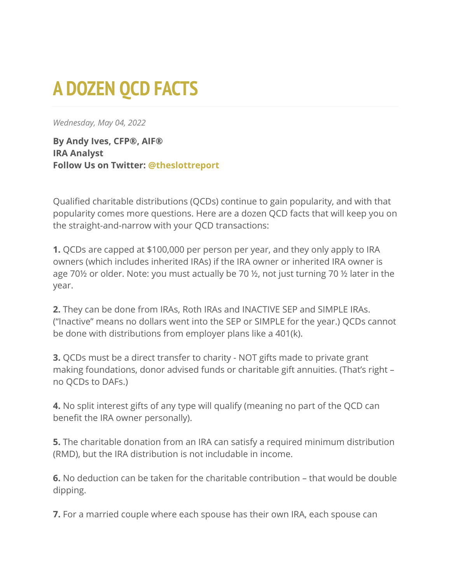## **A DOZEN QCD FACTS**

*Wednesday, May 04, 2022*

**By Andy Ives, CFP®, AIF® IRA Analyst Follow Us on Twitter: [@theslottreport](https://twitter.com/theslottreport)**

Qualified charitable distributions (QCDs) continue to gain popularity, and with that popularity comes more questions. Here are a dozen QCD facts that will keep you on the straight-and-narrow with your QCD transactions:

**1.** QCDs are capped at \$100,000 per person per year, and they only apply to IRA owners (which includes inherited IRAs) if the IRA owner or inherited IRA owner is age 70½ or older. Note: you must actually be 70 ½, not just turning 70 ½ later in the year.

**2.** They can be done from IRAs, Roth IRAs and INACTIVE SEP and SIMPLE IRAs. ("Inactive" means no dollars went into the SEP or SIMPLE for the year.) QCDs cannot be done with distributions from employer plans like a 401(k).

**3.** QCDs must be a direct transfer to charity - NOT gifts made to private grant making foundations, donor advised funds or charitable gift annuities. (That's right – no QCDs to DAFs.)

**4.** No split interest gifts of any type will qualify (meaning no part of the QCD can benefit the IRA owner personally).

**5.** The charitable donation from an IRA can satisfy a required minimum distribution (RMD), but the IRA distribution is not includable in income.

**6.** No deduction can be taken for the charitable contribution – that would be double dipping.

**7.** For a married couple where each spouse has their own IRA, each spouse can